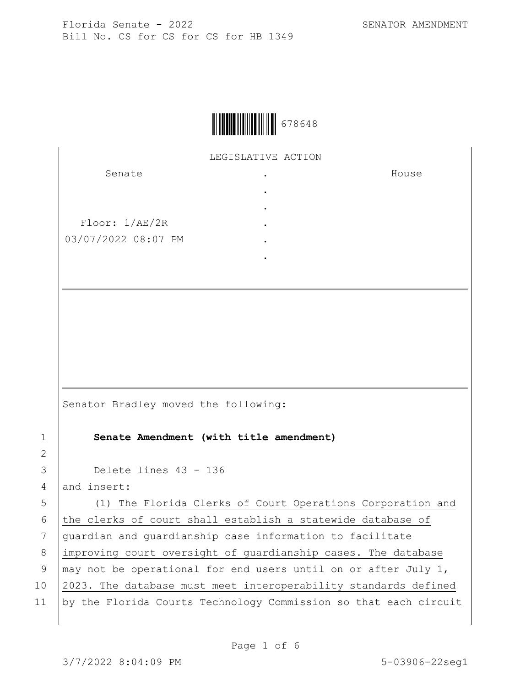House



LEGISLATIVE ACTION

. . . . . .

Senate

Floor: 1/AE/2R 03/07/2022 08:07 PM

Senator Bradley moved the following:

1 **Senate Amendment (with title amendment)**

3 Delete lines 43 - 136

4 and insert:

2

5 (1) The Florida Clerks of Court Operations Corporation and 6 the clerks of court shall establish a statewide database of 7 guardian and guardianship case information to facilitate 8 improving court oversight of guardianship cases. The database 9  $\vert$  may not be operational for end users until on or after July 1, 10 2023. The database must meet interoperability standards defined 11 by the Florida Courts Technology Commission so that each circuit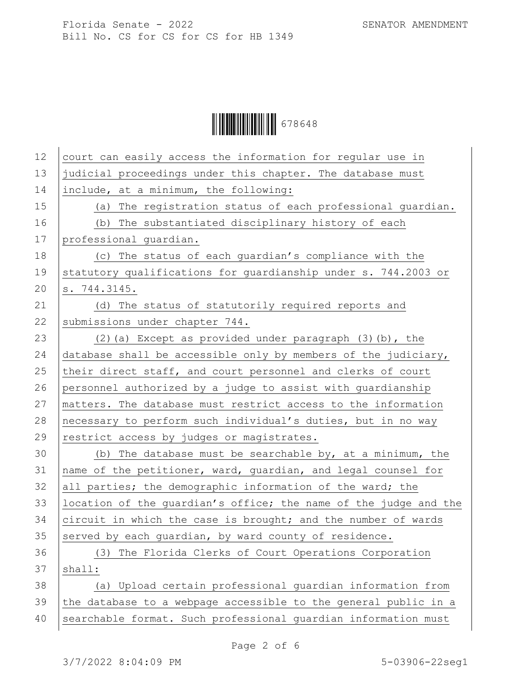Ì678648]Î678648

| 12 | court can easily access the information for regular use in       |
|----|------------------------------------------------------------------|
| 13 | judicial proceedings under this chapter. The database must       |
| 14 | include, at a minimum, the following:                            |
| 15 | (a) The registration status of each professional guardian.       |
| 16 | (b) The substantiated disciplinary history of each               |
| 17 | professional quardian.                                           |
| 18 | (c) The status of each guardian's compliance with the            |
| 19 | statutory qualifications for quardianship under s. 744.2003 or   |
| 20 | s. 744.3145.                                                     |
| 21 | (d) The status of statutorily required reports and               |
| 22 | submissions under chapter 744.                                   |
| 23 | $(2)$ (a) Except as provided under paragraph $(3)$ (b), the      |
| 24 | database shall be accessible only by members of the judiciary,   |
| 25 | their direct staff, and court personnel and clerks of court      |
| 26 | personnel authorized by a judge to assist with quardianship      |
| 27 | matters. The database must restrict access to the information    |
| 28 | necessary to perform such individual's duties, but in no way     |
| 29 | restrict access by judges or magistrates.                        |
| 30 | (b) The database must be searchable by, at a minimum, the        |
| 31 | name of the petitioner, ward, guardian, and legal counsel for    |
| 32 | all parties; the demographic information of the ward; the        |
| 33 | location of the quardian's office; the name of the judge and the |
| 34 | circuit in which the case is brought; and the number of wards    |
| 35 | served by each guardian, by ward county of residence.            |
| 36 | (3) The Florida Clerks of Court Operations Corporation           |
| 37 | shall:                                                           |
| 38 | (a) Upload certain professional quardian information from        |
| 39 | the database to a webpage accessible to the general public in a  |
| 40 | searchable format. Such professional guardian information must   |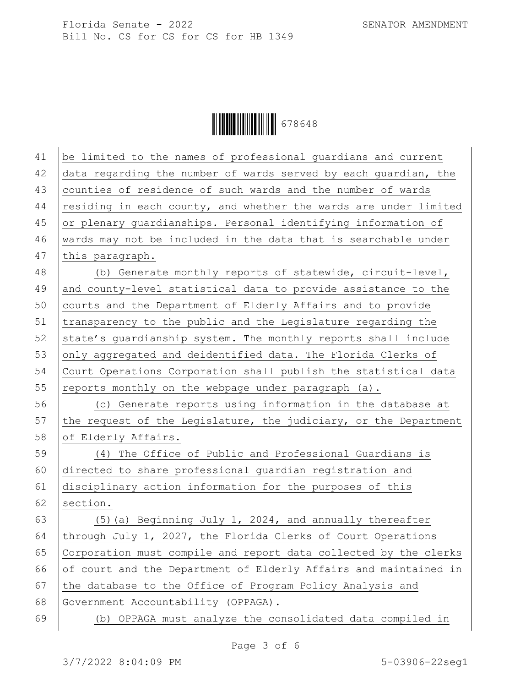Ì678648]Î678648

| 41 | be limited to the names of professional quardians and current    |
|----|------------------------------------------------------------------|
| 42 | data regarding the number of wards served by each guardian, the  |
| 43 | counties of residence of such wards and the number of wards      |
| 44 | residing in each county, and whether the wards are under limited |
| 45 | or plenary guardianships. Personal identifying information of    |
| 46 | wards may not be included in the data that is searchable under   |
| 47 | this paragraph.                                                  |
| 48 | (b) Generate monthly reports of statewide, circuit-level,        |
| 49 | and county-level statistical data to provide assistance to the   |
| 50 | courts and the Department of Elderly Affairs and to provide      |
| 51 | transparency to the public and the Legislature regarding the     |
| 52 | state's guardianship system. The monthly reports shall include   |
| 53 | only aggregated and deidentified data. The Florida Clerks of     |
| 54 | Court Operations Corporation shall publish the statistical data  |
| 55 | reports monthly on the webpage under paragraph (a).              |
| 56 | (c) Generate reports using information in the database at        |
| 57 | the request of the Legislature, the judiciary, or the Department |
| 58 | of Elderly Affairs.                                              |
| 59 | (4) The Office of Public and Professional Guardians is           |
| 60 | directed to share professional guardian registration and         |
| 61 | disciplinary action information for the purposes of this         |
| 62 | section.                                                         |
| 63 | (5) (a) Beginning July 1, 2024, and annually thereafter          |
| 64 | through July 1, 2027, the Florida Clerks of Court Operations     |
| 65 | Corporation must compile and report data collected by the clerks |
| 66 | of court and the Department of Elderly Affairs and maintained in |
| 67 | the database to the Office of Program Policy Analysis and        |
| 68 | Government Accountability (OPPAGA).                              |
| 69 | OPPAGA must analyze the consolidated data compiled in<br>(b)     |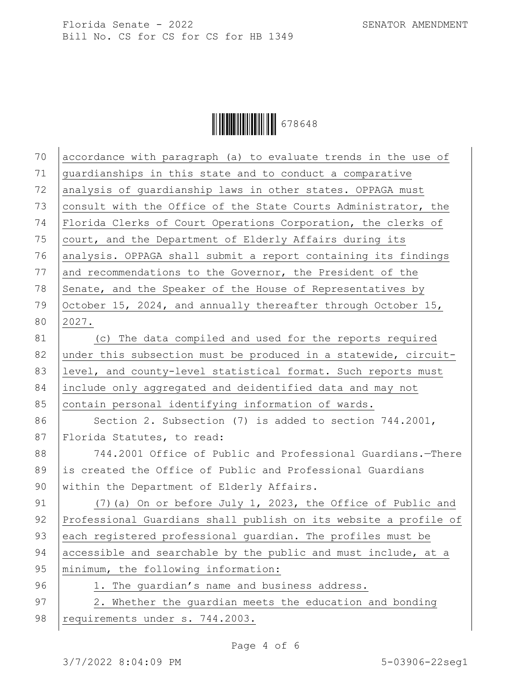

| 70 | accordance with paragraph (a) to evaluate trends in the use of   |
|----|------------------------------------------------------------------|
| 71 | guardianships in this state and to conduct a comparative         |
| 72 | analysis of guardianship laws in other states. OPPAGA must       |
| 73 | consult with the Office of the State Courts Administrator, the   |
| 74 | Florida Clerks of Court Operations Corporation, the clerks of    |
| 75 | court, and the Department of Elderly Affairs during its          |
| 76 | analysis. OPPAGA shall submit a report containing its findings   |
| 77 | and recommendations to the Governor, the President of the        |
| 78 | Senate, and the Speaker of the House of Representatives by       |
| 79 | October 15, 2024, and annually thereafter through October 15,    |
| 80 | 2027.                                                            |
| 81 | (c) The data compiled and used for the reports required          |
| 82 | under this subsection must be produced in a statewide, circuit-  |
| 83 | level, and county-level statistical format. Such reports must    |
| 84 | include only aggregated and deidentified data and may not        |
| 85 | contain personal identifying information of wards.               |
| 86 | Section 2. Subsection (7) is added to section $744.2001$ ,       |
| 87 | Florida Statutes, to read:                                       |
| 88 | 744.2001 Office of Public and Professional Guardians.-There      |
| 89 | is created the Office of Public and Professional Guardians       |
| 90 | within the Department of Elderly Affairs.                        |
| 91 | (7) (a) On or before July 1, 2023, the Office of Public and      |
| 92 | Professional Guardians shall publish on its website a profile of |
| 93 | each registered professional guardian. The profiles must be      |
| 94 | accessible and searchable by the public and must include, at a   |
| 95 | minimum, the following information:                              |
| 96 | 1. The guardian's name and business address.                     |
| 97 | 2. Whether the guardian meets the education and bonding          |
| 98 | requirements under s. 744.2003.                                  |
|    |                                                                  |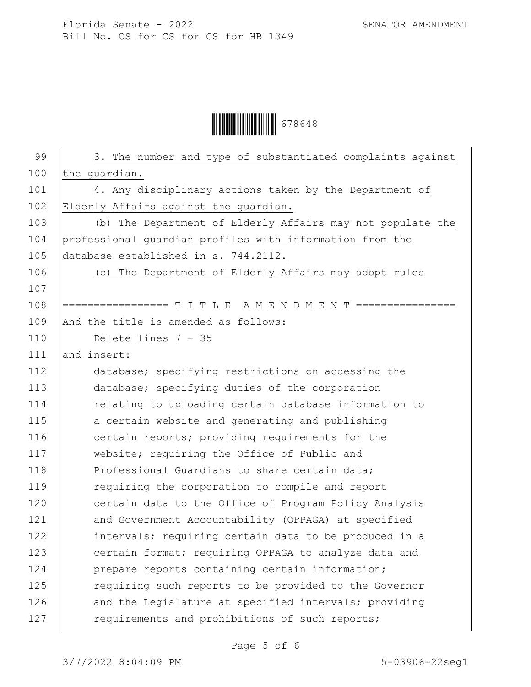Ì678648]Î678648

| 99  | 3. The number and type of substantiated complaints against     |
|-----|----------------------------------------------------------------|
| 100 | the guardian.                                                  |
| 101 | 4. Any disciplinary actions taken by the Department of         |
| 102 | Elderly Affairs against the quardian.                          |
| 103 | (b) The Department of Elderly Affairs may not populate the     |
| 104 | professional quardian profiles with information from the       |
| 105 | database established in s. 744.2112.                           |
| 106 | (c) The Department of Elderly Affairs may adopt rules          |
| 107 |                                                                |
| 108 | ================= T I T L E A M E N D M E N T ================ |
| 109 | And the title is amended as follows:                           |
| 110 | Delete lines 7 - 35                                            |
| 111 | and insert:                                                    |
| 112 | database; specifying restrictions on accessing the             |
| 113 | database; specifying duties of the corporation                 |
| 114 | relating to uploading certain database information to          |
| 115 | a certain website and generating and publishing                |
| 116 | certain reports; providing requirements for the                |
| 117 | website; requiring the Office of Public and                    |
| 118 | Professional Guardians to share certain data;                  |
| 119 | requiring the corporation to compile and report                |
| 120 | certain data to the Office of Program Policy Analysis          |
| 121 | and Government Accountability (OPPAGA) at specified            |
| 122 | intervals; requiring certain data to be produced in a          |
| 123 | certain format; requiring OPPAGA to analyze data and           |
| 124 | prepare reports containing certain information;                |
| 125 | requiring such reports to be provided to the Governor          |
| 126 | and the Legislature at specified intervals; providing          |
| 127 | requirements and prohibitions of such reports;                 |
|     |                                                                |